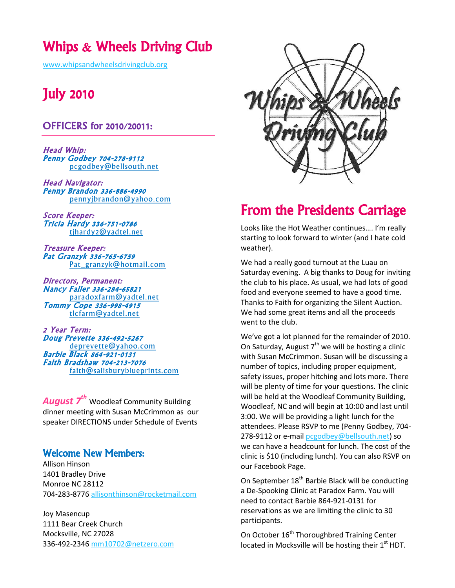# Whips & Wheels Driving Club

[www.whipsandwheelsdrivingclub.org](http://www.whipsandwheelsdrivingclub.org/)

# July 2010

## OFFICERS for 2010/20011:

Head Whip: Penny Godbey 704-278-9112 [pcgodbey@bellsouth.net](mailto:pcgodbey@bellsouth.net)

Head Navigator: Penny Brandon 336-886-4990 [pennyjbrandon@yahoo.com](mailto:pennyjbrandon@yahoo.com)

Score Keeper: Tricia Hardy 336-751-0786 [tjhardy2@yadtel.net](mailto:tjhardy2@yadtel.net)

Treasure Keeper: Pat Granzyk 336-765-6759 [Pat\\_granzyk@hotmail.com](mailto:Pat_granzyk@hotmail.com)

Directors, Permanent: Nancy Faller 336-284-65821 [paradoxfarm@yadtel.net](mailto:paradoxfarm@yadtel.net) Tommy Cope 336-998-4915 [tlcfarm@yadtel.net](mailto:tlcfarm@yadtel.net)

2 Year Term: Doug Prevette 336-492-5267 [deprevette@yahoo.com](mailto:deprevette@yahoo.com) Barbie Black 864-921-0131 Faith Bradshaw 704-213-7076 [faith@salisburyblueprints.com](mailto:faith@salisburyblueprints.com)

*August 7th* Woodleaf Community Building dinner meeting with Susan McCrimmon as our speaker DIRECTIONS under Schedule of Events

## Welcome New Members:

Allison Hinson 1401 Bradley Drive Monroe NC 28112 704-283-877[6 allisonthinson@rocketmail.com](mailto:allisonthinson@rocketmail.com)

Joy Masencup 1111 Bear Creek Church Mocksville, NC 27028 336-492-234[6 mm10702@netzero.com](mailto:mm10702@netzero.com)



# From the Presidents Carriage

Looks like the Hot Weather continues…. I'm really starting to look forward to winter (and I hate cold weather).

We had a really good turnout at the Luau on Saturday evening. A big thanks to Doug for inviting the club to his place. As usual, we had lots of good food and everyone seemed to have a good time. Thanks to Faith for organizing the Silent Auction. We had some great items and all the proceeds went to the club.

We've got a lot planned for the remainder of 2010. On Saturday, August  $7<sup>th</sup>$  we will be hosting a clinic with Susan McCrimmon. Susan will be discussing a number of topics, including proper equipment, safety issues, proper hitching and lots more. There will be plenty of time for your questions. The clinic will be held at the Woodleaf Community Building, Woodleaf, NC and will begin at 10:00 and last until 3:00. We will be providing a light lunch for the attendees. Please RSVP to me (Penny Godbey, 704 278-9112 or e-mai[l pcgodbey@bellsouth.net\)](mailto:pcgodbey@bellsouth.net) so we can have a headcount for lunch. The cost of the clinic is \$10 (including lunch). You can also RSVP on our Facebook Page.

On September  $18<sup>th</sup>$  Barbie Black will be conducting a De-Spooking Clinic at Paradox Farm. You will need to contact Barbie 864-921-0131 for reservations as we are limiting the clinic to 30 participants.

On October 16<sup>th</sup> Thoroughbred Training Center located in Mocksville will be hosting their  $1<sup>st</sup>$  HDT.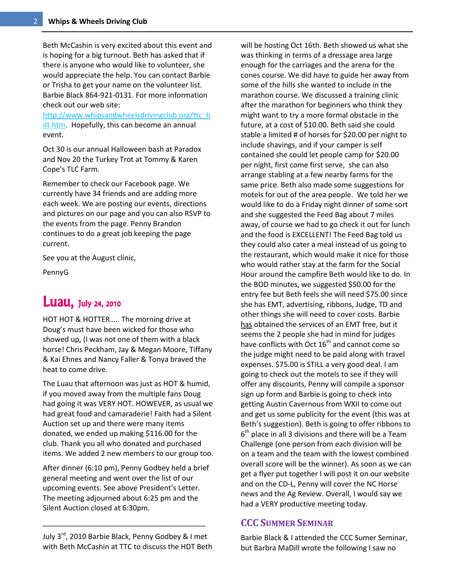Beth McCashin is very excited about this event and is hoping for a big turnout. Beth has asked that if there is anyone who would like to volunteer, she would appreciate the help. You can contact Barbie or Trisha to get your name on the volunteer list. Barbie Black 864-921-0131. For more information check out our web site:

[http://www.whipsandwheelsdrivingclub.org/ttc\\_h](http://www.whipsandwheelsdrivingclub.org/ttc_hdt.htm) [dt.htm.](http://www.whipsandwheelsdrivingclub.org/ttc_hdt.htm) Hopefully, this can become an annual event.

Oct 30 is our annual Halloween bash at Paradox and Nov 20 the Turkey Trot at Tommy & Karen Cope's TLC Farm.

Remember to check our Facebook page. We currently have 34 friends and are adding more each week. We are posting our events, directions and pictures on our page and you can also RSVP to the events from the page. Penny Brandon continues to do a great job keeping the page current.

See you at the August clinic,

PennyG

# **Luau**, July 24, 2010

HOT HOT & HOTTER….. The morning drive at Doug's must have been wicked for those who showed up, (I was not one of them with a black horse! Chris Peckham, Jay & Megan Moore, Tiffany & Kai Ehnes and Nancy Faller & Tonya braved the heat to come drive.

The Luau that afternoon was just as HOT & humid, if you moved away from the multiple fans Doug had going it was VERY HOT. HOWEVER, as usual we had great food and camaraderie! Faith had a Silent Auction set up and there were many items donated, we ended up making \$116.00 for the club. Thank you all who donated and purchased items. We added 2 new members to our group too.

After dinner (6:10 pm), Penny Godbey held a brief general meeting and went over the list of our upcoming events. See above President's Letter. The meeting adjourned about 6:25 pm and the Silent Auction closed at 6:30pm.

July 3rd, 2010 Barbie Black, Penny Godbey & I met with Beth McCashin at TTC to discuss the HDT Beth

\_\_\_\_\_\_\_\_\_\_\_\_\_\_\_\_\_\_\_\_\_\_\_\_\_\_\_\_\_\_\_\_\_\_\_\_\_\_\_\_

will be hosting Oct 16th. Beth showed us what she was thinking in terms of a dressage area large enough for the carriages and the arena for the cones course. We did have to guide her away from some of the hills she wanted to include in the marathon course. We discussed a training clinic after the marathon for beginners who think they might want to try a more formal obstacle in the future, at a cost of \$10.00. Beth said she could stable a limited # of horses for \$20.00 per night to include shavings, and if your camper is self contained she could let people camp for \$20.00 per night, first come first serve, she can also arrange stabling at a few nearby farms for the same price. Beth also made some suggestions for motels for out of the area people. We told her we would like to do a Friday night dinner of some sort and she suggested the Feed Bag about 7 miles away, of course we had to go check it out for lunch and the food is EXCELLENT! The Feed Bag told us they could also cater a meal instead of us going to the restaurant, which would make it nice for those who would rather stay at the farm for the Social Hour around the campfire Beth would like to do. In the BOD minutes, we suggested \$50.00 for the entry fee but Beth feels she will need \$75.00 since she has EMT, advertising, ribbons, Judge, TD and other things she will need to cover costs. Barbie has obtained the services of an EMT free, but it seems the 2 people she had in mind for judges have conflicts with Oct  $16<sup>th</sup>$  and cannot come so the judge might need to be paid along with travel expenses. \$75.00 is STILL a very good deal. I am going to check out the motels to see if they will offer any discounts, Penny will compile a sponsor sign up form and Barbie is going to check into getting Austin Cavernous from WXII to come out and get us some publicity for the event (this was at Beth's suggestion). Beth is going to offer ribbons to  $6<sup>th</sup>$  place in all 3 divisions and there will be a Team Challenge (one person from each division will be on a team and the team with the lowest combined overall score will be the winner). As soon as we can get a flyer put together I will post it on our website and on the CD-L, Penny will cover the NC Horse news and the Ag Review. Overall, I would say we had a VERY productive meeting today.

## **CCC SUMMER SEMINAR**

Barbie Black & I attended the CCC Sumer Seminar, but Barbra MaDill wrote the following I saw no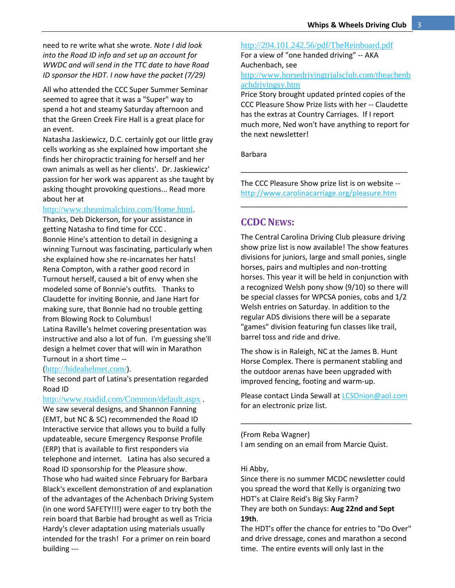need to re write what she wrote*. Note I did look into the Road ID info and set up an account for WWDC and will send in the TTC date to have Road ID sponsor the HDT. I now have the packet (7/29)*

All who attended the CCC Super Summer Seminar seemed to agree that it was a "Super" way to spend a hot and steamy Saturday afternoon and that the Green Creek Fire Hall is a great place for an event.

Natasha Jaskiewicz, D.C. certainly got our little gray cells working as she explained how important she finds her chiropractic training for herself and her own animals as well as her clients'. Dr. Jaskiewicz' passion for her work was apparent as she taught by asking thought provoking questions... Read more about her at

#### <http://www.theanimalchiro.com/Home.html>.

Thanks, Deb Dickerson, for your assistance in getting Natasha to find time for CCC . Bonnie Hine's attention to detail in designing a winning Turnout was fascinating, particularly when she explained how she re-incarnates her hats! Rena Compton, with a rather good record in Turnout herself, caused a bit of envy when she modeled some of Bonnie's outfits. Thanks to Claudette for inviting Bonnie, and Jane Hart for making sure, that Bonnie had no trouble getting from Blowing Rock to Columbus!

Latina Raville's helmet covering presentation was instructive and also a lot of fun. I'm guessing she'll design a helmet cover that will win in Marathon Turnout in a short time --

#### (<http://hideahelmet.com/>).

The second part of Latina's presentation regarded Road ID

#### <http://www.roadid.com/Common/default.aspx> .

We saw several designs, and Shannon Fanning (EMT, but NC & SC) recommended the Road ID Interactive service that allows you to build a fully updateable, secure Emergency Response Profile (ERP) that is available to first responders via telephone and internet. Latina has also secured a Road ID sponsorship for the Pleasure show. Those who had waited since February for Barbara Black's excellent demonstration of and explanation of the advantages of the Achenbach Driving System (in one word SAFETY!!!) were eager to try both the rein board that Barbie had brought as well as Tricia Hardy's clever adaptation using materials usually intended for the trash! For a primer on rein board building ---

<http://204.101.242.56/pdf/TheReinboard.pdf> For a view of "one handed driving" -- AKA Auchenbach, see

#### [http://www.horsedrivingtrialsclub.com/theachenb](http://www.horsedrivingtrialsclub.com/theachenbachdrivingsy.htm) [achdrivingsy.htm](http://www.horsedrivingtrialsclub.com/theachenbachdrivingsy.htm)

Price Story brought updated printed copies of the CCC Pleasure Show Prize lists with her -- Claudette has the extras at Country Carriages. If I report much more, Ned won't have anything to report for the next newsletter!

Barbara

The CCC Pleasure Show prize list is on website - <http://www.carolinacarriage.org/pleasure.htm>

\_\_\_\_\_\_\_\_\_\_\_\_\_\_\_\_\_\_\_\_\_\_\_\_\_\_\_\_\_\_\_\_\_\_\_\_\_\_\_\_\_

\_\_\_\_\_\_\_\_\_\_\_\_\_\_\_\_\_\_\_\_\_\_\_\_\_\_\_\_\_\_\_\_\_\_\_\_\_\_\_\_\_

### **CCDC NEWS:**

The Central Carolina Driving Club pleasure driving show prize list is now available! The show features divisions for juniors, large and small ponies, single horses, pairs and multiples and non-trotting horses. This year it will be held in conjunction with a recognized Welsh pony show (9/10) so there will be special classes for WPCSA ponies, cobs and 1/2 Welsh entries on Saturday. In addition to the regular ADS divisions there will be a separate "games" division featuring fun classes like trail, barrel toss and ride and drive.

The show is in Raleigh, NC at the James B. Hunt Horse Complex. There is permanent stabling and the outdoor arenas have been upgraded with improved fencing, footing and warm-up.

Please contact Linda Sewall at [LCSOnion@aol.com](mailto:LCSOnion@aol.com) for an electronic prize list.

\_\_\_\_\_\_\_\_\_\_\_\_\_\_\_\_\_\_\_\_\_\_\_\_\_\_\_\_\_\_\_\_\_\_\_\_\_\_\_\_\_\_

(From Reba Wagner)

I am sending on an email from Marcie Quist.

#### Hi Abby,

Since there is no summer MCDC newsletter could you spread the word that Kelly is organizing two HDT's at Claire Reid's Big Sky Farm? They are both on Sundays: **Aug 22nd and Sept 19th**.

The HDT's offer the chance for entries to "Do Over" and drive dressage, cones and marathon a second time. The entire events will only last in the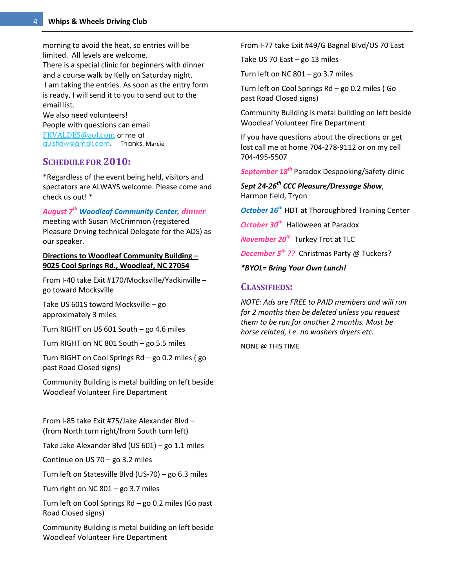morning to avoid the heat, so entries will be limited. All levels are welcome. There is a special clinic for beginners with dinner and a course walk by Kelly on Saturday night. I am taking the entries. As soon as the entry form is ready, I will send it to you to send out to the email list.

We also need volunteers! People with questions can email [FKVALDES@aol.com](mailto:FKVALDES@aol.com) or me at [quistlaw@gmail.com.](mailto:quistlaw@gmail.com) Thanks, Marcie

### **SCHEDULE FOR 2010:**

\*Regardless of the event being held, visitors and spectators are ALWAYS welcome. Please come and check us out! \*

*August 7th Woodleaf Community Center, dinner*

meeting with Susan McCrimmon (registered Pleasure Driving technical Delegate for the ADS) as our speaker.

**Directions to Woodleaf Community Building – 9025 Cool Springs Rd., Woodleaf, NC 27054**

From I-40 take Exit #170/Mocksville/Yadkinville – go toward Mocksville

Take US 601S toward Mocksville – go approximately 3 miles

Turn RIGHT on US 601 South – go 4.6 miles

Turn RIGHT on NC 801 South – go 5.5 miles

Turn RIGHT on Cool Springs Rd – go 0.2 miles ( go past Road Closed signs)

Community Building is metal building on left beside Woodleaf Volunteer Fire Department

From I-85 take Exit #75/Jake Alexander Blvd – (from North turn right/from South turn left)

Take Jake Alexander Blvd (US 601) – go 1.1 miles

Continue on US 70 – go 3.2 miles

Turn left on Statesville Blvd (US-70) – go 6.3 miles

Turn right on NC  $801 -$  go 3.7 miles

Turn left on Cool Springs Rd – go 0.2 miles (Go past Road Closed signs)

Community Building is metal building on left beside Woodleaf Volunteer Fire Department

From I-77 take Exit #49/G Bagnal Blvd/US 70 East

Take US 70 East – go 13 miles

Turn left on NC  $801 -$  go 3.7 miles

Turn left on Cool Springs Rd – go 0.2 miles ( Go past Road Closed signs)

Community Building is metal building on left beside Woodleaf Volunteer Fire Department

If you have questions about the directions or get lost call me at home 704-278-9112 or on my cell 704-495-5507

*September 18th* Paradox Despooking/Safety clinic

*Sept 24-26th CCC Pleasure/Dressage Show*, Harmon field, Tryon

*October 16th* HDT at Thoroughbred Training Center

*October 30th* Halloween at Paradox

*November 20<sup>th</sup>* Turkey Trot at TLC

*December 5 th ??* Christmas Party @ Tuckers?

*\*BYOL= Bring Your Own Lunch!* 

### **CLASSIFIEDS:**

*NOTE: Ads are FREE to PAID members and will run for 2 months then be deleted unless you request them to be run for another 2 months. Must be horse related, i.e. no washers dryers etc.*

NONE @ THIS TIME